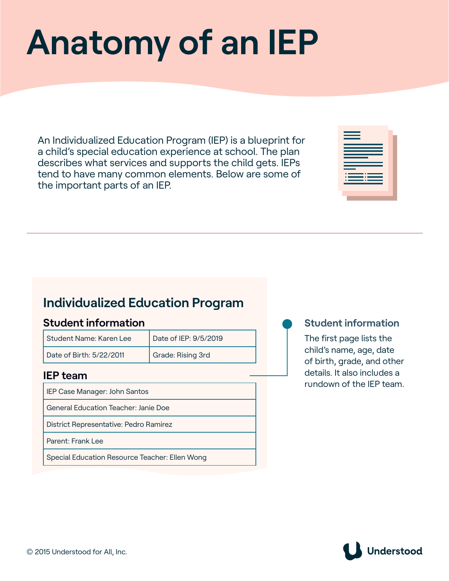# **Anatomy of an IEP**

An Individualized Education Program (IEP) is a blueprint for a child's special education experience at school. The plan describes what services and supports the child gets. IEPs tend to have many common elements. Below are some of the important parts of an IEP.

| the company of the company<br>and the state of the state of the state of the state of the state of the state of the state of the state of th |  |
|----------------------------------------------------------------------------------------------------------------------------------------------|--|
| $\sim$ $\sim$ $\sim$<br><b>Service Service</b>                                                                                               |  |
| - 11<br>___<br>$\sim$                                                                                                                        |  |
|                                                                                                                                              |  |
|                                                                                                                                              |  |
|                                                                                                                                              |  |
|                                                                                                                                              |  |

# **Individualized Education Program**

# **Student information**

| Student Name: Karen Lee  | Date of IEP: 9/5/2019 |
|--------------------------|-----------------------|
| Date of Birth: 5/22/2011 | Grade: Rising 3rd     |

# **IEP team**

IEP Case Manager: John Santos General Education Teacher: Janie Doe

District Representative: Pedro Ramirez

Parent: Frank Lee

Special Education Resource Teacher: Ellen Wong

# **Student information**

The first page lists the child's name, age, date of birth, grade, and other details. It also includes a rundown of the IEP team.

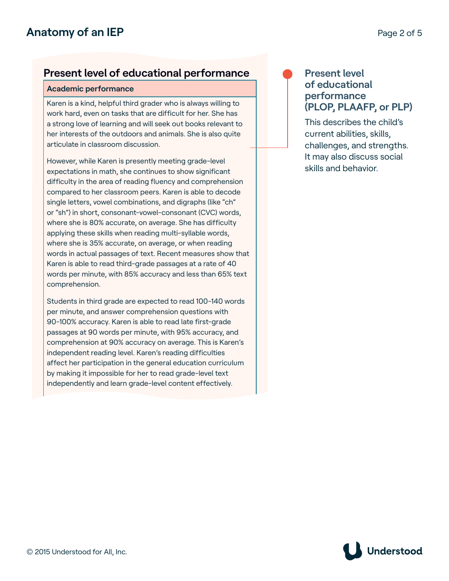# **Present level of educational performance**

#### **Academic performance**

Karen is a kind, helpful third grader who is always willing to work hard, even on tasks that are difficult for her. She has a strong love of learning and will seek out books relevant to her interests of the outdoors and animals. She is also quite articulate in classroom discussion.

However, while Karen is presently meeting grade-level expectations in math, she continues to show significant difficulty in the area of reading fluency and comprehension compared to her classroom peers. Karen is able to decode single letters, vowel combinations, and digraphs (like "ch" or "sh") in short, consonant-vowel-consonant (CVC) words, where she is 80% accurate, on average. She has difficulty applying these skills when reading multi-syllable words, where she is 35% accurate, on average, or when reading words in actual passages of text. Recent measures show that Karen is able to read third-grade passages at a rate of 40 words per minute, with 85% accuracy and less than 65% text comprehension.

Students in third grade are expected to read 100-140 words per minute, and answer comprehension questions with 90-100% accuracy. Karen is able to read late first-grade passages at 90 words per minute, with 95% accuracy, and comprehension at 90% accuracy on average. This is Karen's independent reading level. Karen's reading difficulties affect her participation in the general education curriculum by making it impossible for her to read grade-level text independently and learn grade-level content effectively.

# **Present level of educational performance (PLOP, PLAAFP, or PLP)**

This describes the child's current abilities, skills, challenges, and strengths. It may also discuss social skills and behavior.

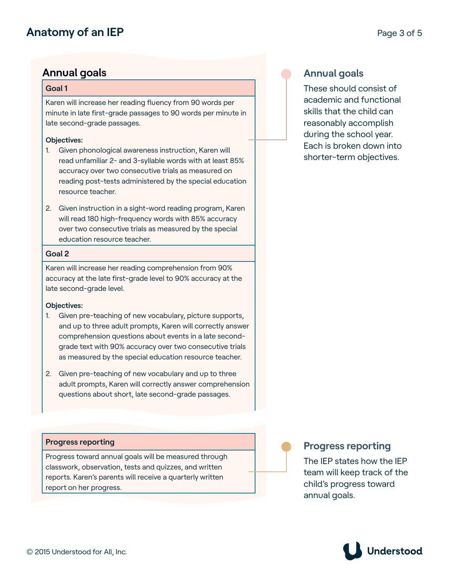# **Anatomy of an IEP** Page 3 of 5

# **Annual goals**

#### **Goal 1**

Karen will increase her reading fluency from 90 words per minute in late first-grade passages to 90 words per minute in late second-grade passages.

#### **Objectives:**

- 1. Given phonological awareness instruction, Karen will read unfamiliar 2- and 3-syllable words with at least 85% accuracy over two consecutive trials as measured on reading post-tests administered by the special education resource teacher.
- 2. Given instruction in a sight-word reading program, Karen will read 180 high-frequency words with 85% accuracy over two consecutive trials as measured by the special education resource teacher.

#### **Goal 2**

Karen will increase her reading comprehension from 90% accuracy at the late first-grade level to 90% accuracy at the late second-grade level.

#### **Objectives:**

- 1. Given pre-teaching of new vocabulary, picture supports, and up to three adult prompts, Karen will correctly answer comprehension questions about events in a late secondgrade text with 90% accuracy over two consecutive trials as measured by the special education resource teacher.
- 2. Given pre-teaching of new vocabulary and up to three adult prompts, Karen will correctly answer comprehension questions about short, late second-grade passages.

#### **Progress reporting**

Progress toward annual goals will be measured through classwork, observation, tests and quizzes, and written reports. Karen's parents will receive a quarterly written report on her progress.

# **Annual goals**

These should consist of academic and functional skills that the child can reasonably accomplish during the school year. Each is broken down into shorter-term objectives.

# **Progress reporting**

The IEP states how the IEP team will keep track of the child's progress toward annual goals.

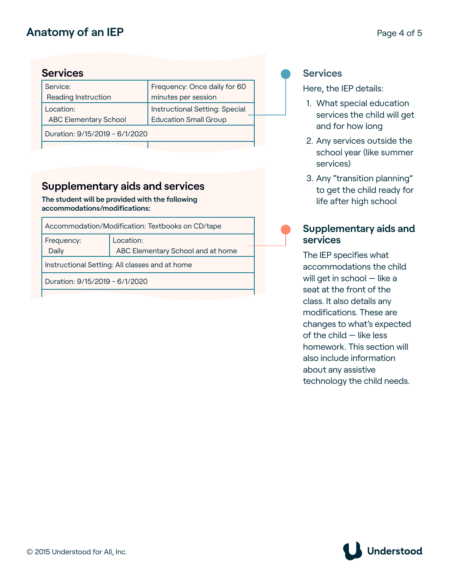# **Anatomy of an IEP** Page 4 of 5

# **Services**

| minutes per session<br>Reading Instruction<br>Instructional Setting: Special<br>Location:<br><b>ABC Elementary School</b><br>Education Small Group | Frequency: Once daily for 60 |
|----------------------------------------------------------------------------------------------------------------------------------------------------|------------------------------|
|                                                                                                                                                    |                              |
|                                                                                                                                                    |                              |
|                                                                                                                                                    |                              |
| Duration: 9/15/2019 - 6/1/2020                                                                                                                     |                              |

# **Supplementary aids and services**

**The student will be provided with the following accommodations/modifications:**

|                                                | Accommodation/Modification: Textbooks on CD/tape |  |  |  |
|------------------------------------------------|--------------------------------------------------|--|--|--|
| Frequency:<br>Daily                            | Location:<br>ABC Elementary School and at home   |  |  |  |
| Instructional Setting: All classes and at home |                                                  |  |  |  |
| Duration: 9/15/2019 - 6/1/2020                 |                                                  |  |  |  |
|                                                |                                                  |  |  |  |

### **Services**

Here, the IEP details:

- 1. What special education services the child will get and for how long
- 2. Any services outside the school year (like summer services)
- 3. Any "transition planning" to get the child ready for life after high school

# **Supplementary aids and services**

The IEP specifies what accommodations the child will get in school — like a seat at the front of the class. It also details any modifications. These are changes to what's expected of the child — like less homework. This section will also include information about any assistive technology the child needs.